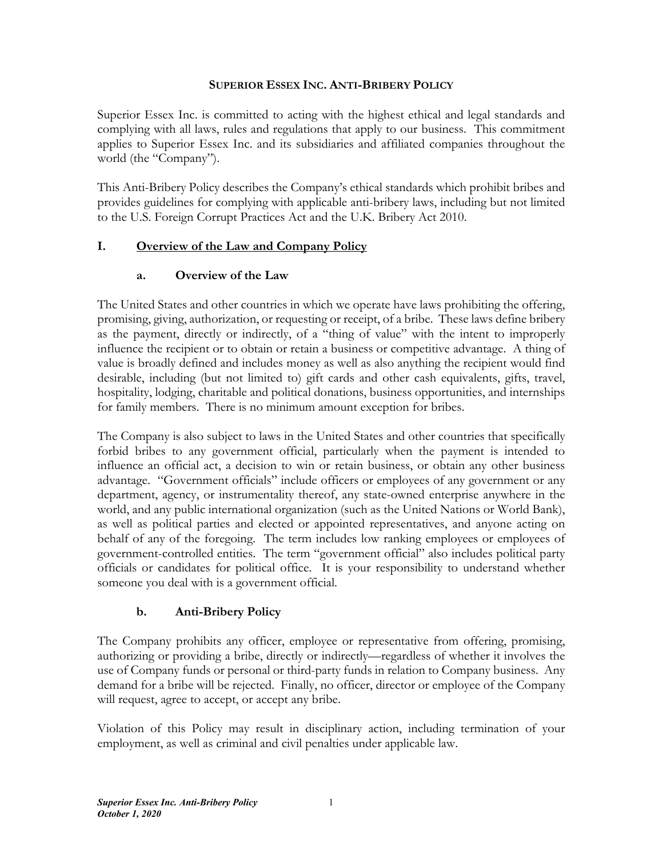#### **SUPERIOR ESSEX INC. ANTI-BRIBERY POLICY**

Superior Essex Inc. is committed to acting with the highest ethical and legal standards and complying with all laws, rules and regulations that apply to our business. This commitment applies to Superior Essex Inc. and its subsidiaries and affiliated companies throughout the world (the "Company").

This Anti-Bribery Policy describes the Company's ethical standards which prohibit bribes and provides guidelines for complying with applicable anti-bribery laws, including but not limited to the U.S. Foreign Corrupt Practices Act and the U.K. Bribery Act 2010.

### **I. Overview of the Law and Company Policy**

#### **a. Overview of the Law**

The United States and other countries in which we operate have laws prohibiting the offering, promising, giving, authorization, or requesting or receipt, of a bribe. These laws define bribery as the payment, directly or indirectly, of a "thing of value" with the intent to improperly influence the recipient or to obtain or retain a business or competitive advantage. A thing of value is broadly defined and includes money as well as also anything the recipient would find desirable, including (but not limited to) gift cards and other cash equivalents, gifts, travel, hospitality, lodging, charitable and political donations, business opportunities, and internships for family members. There is no minimum amount exception for bribes.

The Company is also subject to laws in the United States and other countries that specifically forbid bribes to any government official, particularly when the payment is intended to influence an official act, a decision to win or retain business, or obtain any other business advantage. "Government officials" include officers or employees of any government or any department, agency, or instrumentality thereof, any state-owned enterprise anywhere in the world, and any public international organization (such as the United Nations or World Bank), as well as political parties and elected or appointed representatives, and anyone acting on behalf of any of the foregoing. The term includes low ranking employees or employees of government-controlled entities. The term "government official" also includes political party officials or candidates for political office. It is your responsibility to understand whether someone you deal with is a government official.

### **b. Anti-Bribery Policy**

The Company prohibits any officer, employee or representative from offering, promising, authorizing or providing a bribe, directly or indirectly—regardless of whether it involves the use of Company funds or personal or third-party funds in relation to Company business. Any demand for a bribe will be rejected. Finally, no officer, director or employee of the Company will request, agree to accept, or accept any bribe.

Violation of this Policy may result in disciplinary action, including termination of your employment, as well as criminal and civil penalties under applicable law.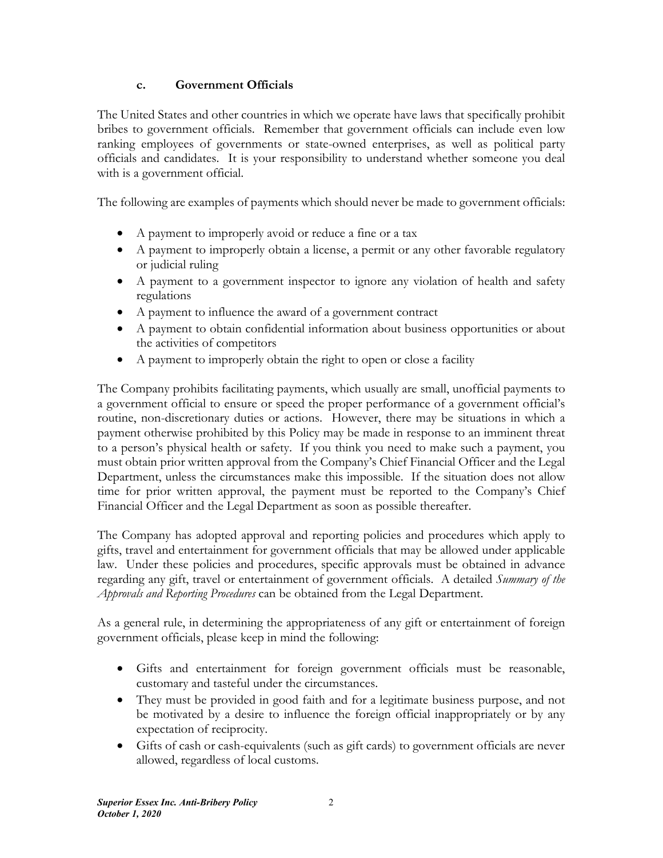### **c. Government Officials**

The United States and other countries in which we operate have laws that specifically prohibit bribes to government officials. Remember that government officials can include even low ranking employees of governments or state-owned enterprises, as well as political party officials and candidates. It is your responsibility to understand whether someone you deal with is a government official.

The following are examples of payments which should never be made to government officials:

- A payment to improperly avoid or reduce a fine or a tax
- A payment to improperly obtain a license, a permit or any other favorable regulatory or judicial ruling
- A payment to a government inspector to ignore any violation of health and safety regulations
- A payment to influence the award of a government contract
- A payment to obtain confidential information about business opportunities or about the activities of competitors
- A payment to improperly obtain the right to open or close a facility

The Company prohibits facilitating payments, which usually are small, unofficial payments to a government official to ensure or speed the proper performance of a government official's routine, non-discretionary duties or actions. However, there may be situations in which a payment otherwise prohibited by this Policy may be made in response to an imminent threat to a person's physical health or safety. If you think you need to make such a payment, you must obtain prior written approval from the Company's Chief Financial Officer and the Legal Department, unless the circumstances make this impossible. If the situation does not allow time for prior written approval, the payment must be reported to the Company's Chief Financial Officer and the Legal Department as soon as possible thereafter.

The Company has adopted approval and reporting policies and procedures which apply to gifts, travel and entertainment for government officials that may be allowed under applicable law. Under these policies and procedures, specific approvals must be obtained in advance regarding any gift, travel or entertainment of government officials. A detailed *Summary of the Approvals and Reporting Procedures* can be obtained from the Legal Department.

As a general rule, in determining the appropriateness of any gift or entertainment of foreign government officials, please keep in mind the following:

- Gifts and entertainment for foreign government officials must be reasonable, customary and tasteful under the circumstances.
- They must be provided in good faith and for a legitimate business purpose, and not be motivated by a desire to influence the foreign official inappropriately or by any expectation of reciprocity.
- Gifts of cash or cash-equivalents (such as gift cards) to government officials are never allowed, regardless of local customs.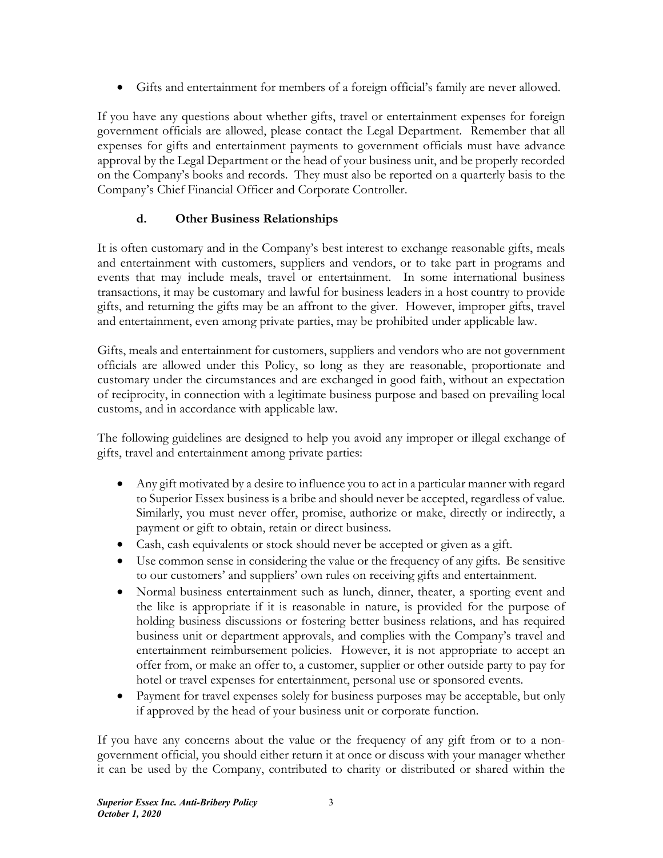Gifts and entertainment for members of a foreign official's family are never allowed.

If you have any questions about whether gifts, travel or entertainment expenses for foreign government officials are allowed, please contact the Legal Department. Remember that all expenses for gifts and entertainment payments to government officials must have advance approval by the Legal Department or the head of your business unit, and be properly recorded on the Company's books and records. They must also be reported on a quarterly basis to the Company's Chief Financial Officer and Corporate Controller.

### **d. Other Business Relationships**

It is often customary and in the Company's best interest to exchange reasonable gifts, meals and entertainment with customers, suppliers and vendors, or to take part in programs and events that may include meals, travel or entertainment. In some international business transactions, it may be customary and lawful for business leaders in a host country to provide gifts, and returning the gifts may be an affront to the giver. However, improper gifts, travel and entertainment, even among private parties, may be prohibited under applicable law.

Gifts, meals and entertainment for customers, suppliers and vendors who are not government officials are allowed under this Policy, so long as they are reasonable, proportionate and customary under the circumstances and are exchanged in good faith, without an expectation of reciprocity, in connection with a legitimate business purpose and based on prevailing local customs, and in accordance with applicable law.

The following guidelines are designed to help you avoid any improper or illegal exchange of gifts, travel and entertainment among private parties:

- Any gift motivated by a desire to influence you to act in a particular manner with regard to Superior Essex business is a bribe and should never be accepted, regardless of value. Similarly, you must never offer, promise, authorize or make, directly or indirectly, a payment or gift to obtain, retain or direct business.
- Cash, cash equivalents or stock should never be accepted or given as a gift.
- Use common sense in considering the value or the frequency of any gifts. Be sensitive to our customers' and suppliers' own rules on receiving gifts and entertainment.
- Normal business entertainment such as lunch, dinner, theater, a sporting event and the like is appropriate if it is reasonable in nature, is provided for the purpose of holding business discussions or fostering better business relations, and has required business unit or department approvals, and complies with the Company's travel and entertainment reimbursement policies. However, it is not appropriate to accept an offer from, or make an offer to, a customer, supplier or other outside party to pay for hotel or travel expenses for entertainment, personal use or sponsored events.
- Payment for travel expenses solely for business purposes may be acceptable, but only if approved by the head of your business unit or corporate function.

If you have any concerns about the value or the frequency of any gift from or to a nongovernment official, you should either return it at once or discuss with your manager whether it can be used by the Company, contributed to charity or distributed or shared within the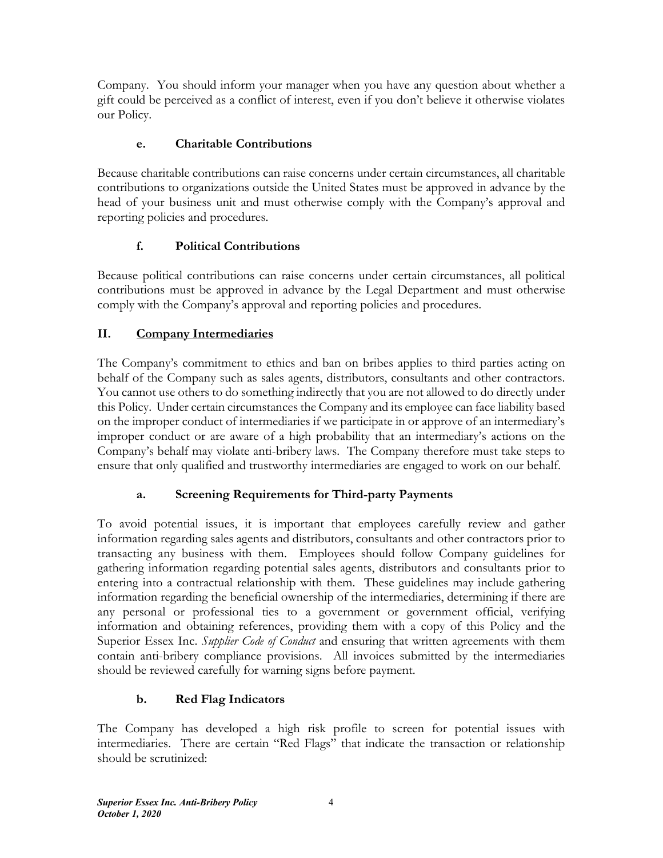Company. You should inform your manager when you have any question about whether a gift could be perceived as a conflict of interest, even if you don't believe it otherwise violates our Policy.

## **e. Charitable Contributions**

Because charitable contributions can raise concerns under certain circumstances, all charitable contributions to organizations outside the United States must be approved in advance by the head of your business unit and must otherwise comply with the Company's approval and reporting policies and procedures.

# **f. Political Contributions**

Because political contributions can raise concerns under certain circumstances, all political contributions must be approved in advance by the Legal Department and must otherwise comply with the Company's approval and reporting policies and procedures.

# **II. Company Intermediaries**

The Company's commitment to ethics and ban on bribes applies to third parties acting on behalf of the Company such as sales agents, distributors, consultants and other contractors. You cannot use others to do something indirectly that you are not allowed to do directly under this Policy. Under certain circumstances the Company and its employee can face liability based on the improper conduct of intermediaries if we participate in or approve of an intermediary's improper conduct or are aware of a high probability that an intermediary's actions on the Company's behalf may violate anti-bribery laws. The Company therefore must take steps to ensure that only qualified and trustworthy intermediaries are engaged to work on our behalf.

# **a. Screening Requirements for Third-party Payments**

To avoid potential issues, it is important that employees carefully review and gather information regarding sales agents and distributors, consultants and other contractors prior to transacting any business with them. Employees should follow Company guidelines for gathering information regarding potential sales agents, distributors and consultants prior to entering into a contractual relationship with them. These guidelines may include gathering information regarding the beneficial ownership of the intermediaries, determining if there are any personal or professional ties to a government or government official, verifying information and obtaining references, providing them with a copy of this Policy and the Superior Essex Inc. *Supplier Code of Conduct* and ensuring that written agreements with them contain anti-bribery compliance provisions. All invoices submitted by the intermediaries should be reviewed carefully for warning signs before payment.

# **b. Red Flag Indicators**

The Company has developed a high risk profile to screen for potential issues with intermediaries. There are certain "Red Flags" that indicate the transaction or relationship should be scrutinized: